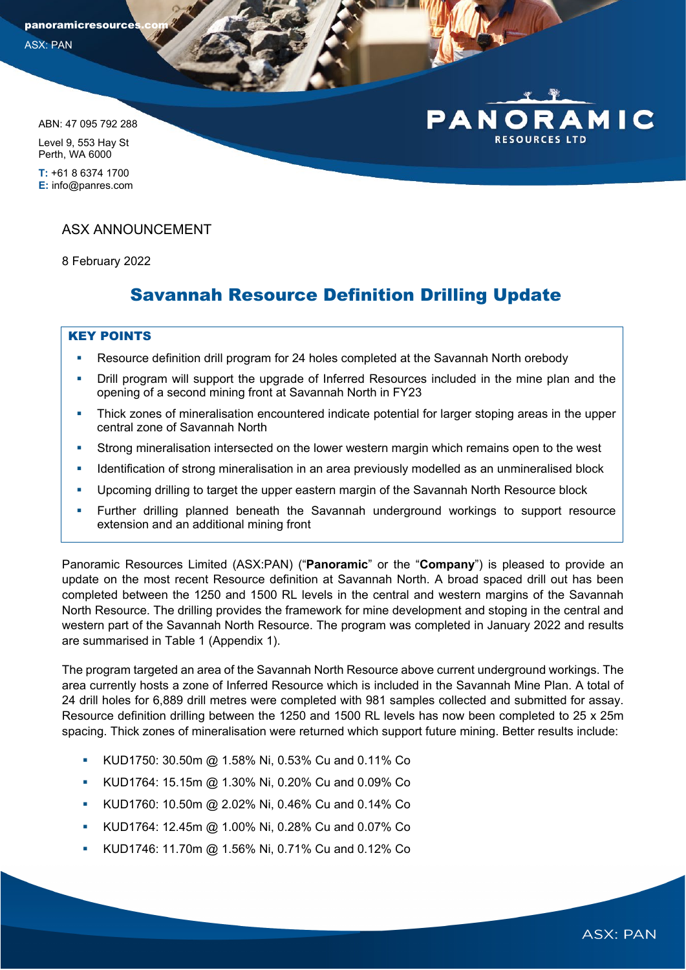panoramicresource ASX: PAN

> ABN: 47 095 792 288 Level 9, 553 Hay St

**T:** +61 8 6374 1700 **E:** info@panres.com

Perth, WA 6000

### ASX ANNOUNCEMENT

8 February 2022

# Savannah Resource Definition Drilling Update

#### KEY POINTS

- Resource definition drill program for 24 holes completed at the Savannah North orebody
- Drill program will support the upgrade of Inferred Resources included in the mine plan and the opening of a second mining front at Savannah North in FY23
- Thick zones of mineralisation encountered indicate potential for larger stoping areas in the upper central zone of Savannah North
- Strong mineralisation intersected on the lower western margin which remains open to the west
- Identification of strong mineralisation in an area previously modelled as an unmineralised block
- Upcoming drilling to target the upper eastern margin of the Savannah North Resource block
- **Further drilling planned beneath the Savannah underground workings to support resource** extension and an additional mining front

Panoramic Resources Limited (ASX:PAN) ("**Panoramic**" or the "**Company**") is pleased to provide an update on the most recent Resource definition at Savannah North. A broad spaced drill out has been completed between the 1250 and 1500 RL levels in the central and western margins of the Savannah North Resource. The drilling provides the framework for mine development and stoping in the central and western part of the Savannah North Resource. The program was completed in January 2022 and results are summarised in Table 1 (Appendix 1).

The program targeted an area of the Savannah North Resource above current underground workings. The area currently hosts a zone of Inferred Resource which is included in the Savannah Mine Plan. A total of 24 drill holes for 6,889 drill metres were completed with 981 samples collected and submitted for assay. Resource definition drilling between the 1250 and 1500 RL levels has now been completed to 25 x 25m spacing. Thick zones of mineralisation were returned which support future mining. Better results include:

- KUD1750: 30.50m @ 1.58% Ni, 0.53% Cu and 0.11% Co
- KUD1764: 15.15m @ 1.30% Ni, 0.20% Cu and 0.09% Co
- KUD1760: 10.50m @ 2.02% Ni, 0.46% Cu and 0.14% Co
- KUD1764: 12.45m @ 1.00% Ni, 0.28% Cu and 0.07% Co
- KUD1746: 11.70m @ 1.56% Ni, 0.71% Cu and 0.12% Co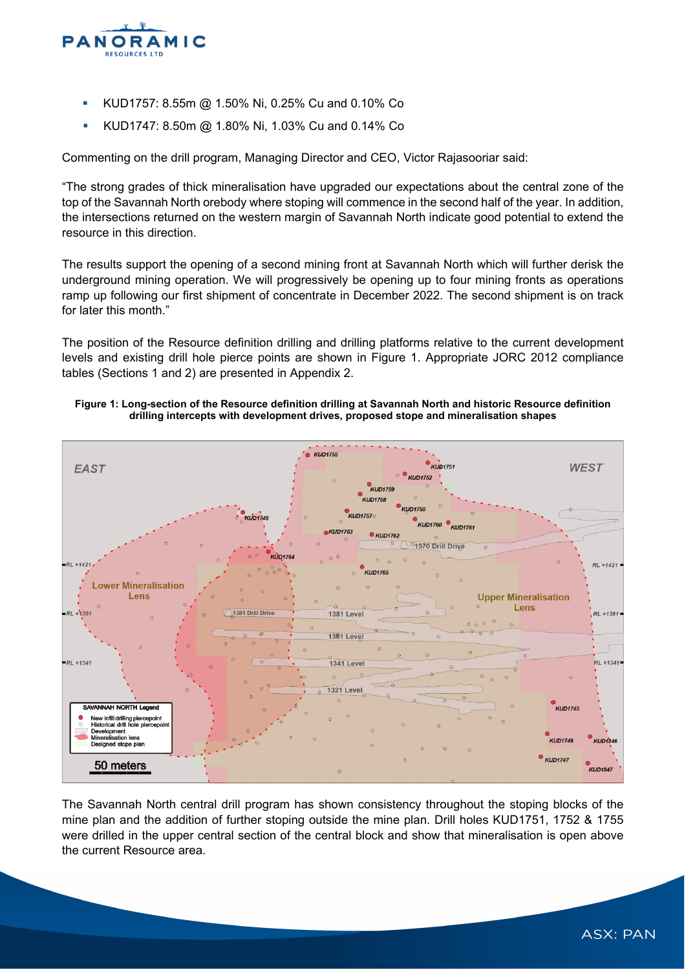

- KUD1757: 8.55m @ 1.50% Ni, 0.25% Cu and 0.10% Co
- KUD1747: 8.50m @ 1.80% Ni, 1.03% Cu and 0.14% Co

Commenting on the drill program, Managing Director and CEO, Victor Rajasooriar said:

"The strong grades of thick mineralisation have upgraded our expectations about the central zone of the top of the Savannah North orebody where stoping will commence in the second half of the year. In addition, the intersections returned on the western margin of Savannah North indicate good potential to extend the resource in this direction.

The results support the opening of a second mining front at Savannah North which will further derisk the underground mining operation. We will progressively be opening up to four mining fronts as operations ramp up following our first shipment of concentrate in December 2022. The second shipment is on track for later this month."

The position of the Resource definition drilling and drilling platforms relative to the current development levels and existing drill hole pierce points are shown in Figure 1. Appropriate JORC 2012 compliance tables (Sections 1 and 2) are presented in Appendix 2.





**2**  The Savannah North central drill program has shown consistency throughout the stoping blocks of the mine plan and the addition of further stoping outside the mine plan. Drill holes KUD1751, 1752 & 1755 were drilled in the upper central section of the central block and show that mineralisation is open above the current Resource area.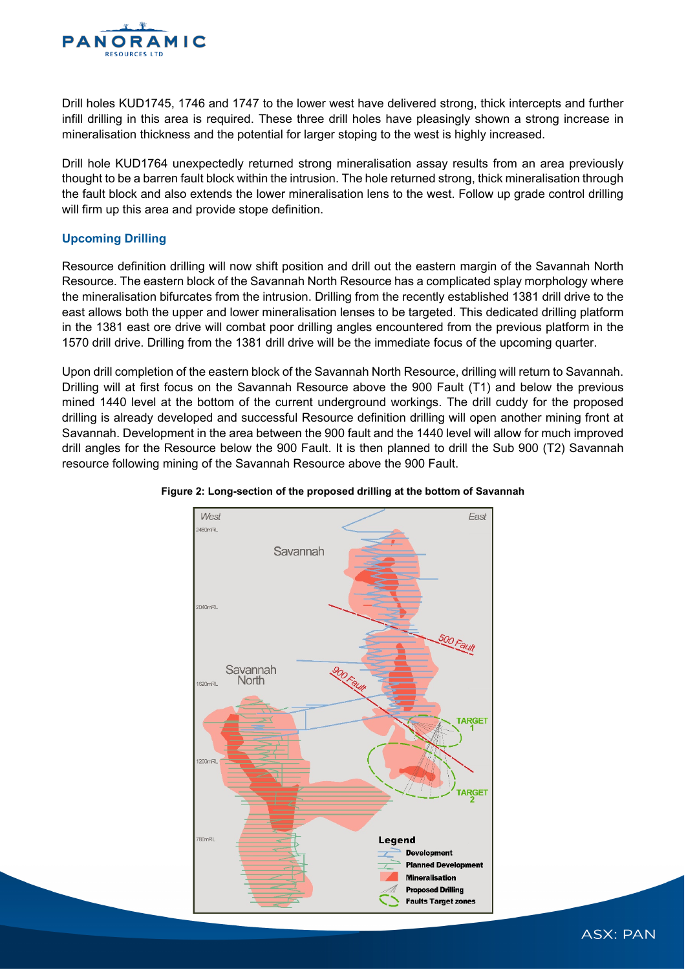

Drill holes KUD1745, 1746 and 1747 to the lower west have delivered strong, thick intercepts and further infill drilling in this area is required. These three drill holes have pleasingly shown a strong increase in mineralisation thickness and the potential for larger stoping to the west is highly increased.

Drill hole KUD1764 unexpectedly returned strong mineralisation assay results from an area previously thought to be a barren fault block within the intrusion. The hole returned strong, thick mineralisation through the fault block and also extends the lower mineralisation lens to the west. Follow up grade control drilling will firm up this area and provide stope definition.

### **Upcoming Drilling**

Resource definition drilling will now shift position and drill out the eastern margin of the Savannah North Resource. The eastern block of the Savannah North Resource has a complicated splay morphology where the mineralisation bifurcates from the intrusion. Drilling from the recently established 1381 drill drive to the east allows both the upper and lower mineralisation lenses to be targeted. This dedicated drilling platform in the 1381 east ore drive will combat poor drilling angles encountered from the previous platform in the 1570 drill drive. Drilling from the 1381 drill drive will be the immediate focus of the upcoming quarter.

Upon drill completion of the eastern block of the Savannah North Resource, drilling will return to Savannah. Drilling will at first focus on the Savannah Resource above the 900 Fault (T1) and below the previous mined 1440 level at the bottom of the current underground workings. The drill cuddy for the proposed drilling is already developed and successful Resource definition drilling will open another mining front at Savannah. Development in the area between the 900 fault and the 1440 level will allow for much improved drill angles for the Resource below the 900 Fault. It is then planned to drill the Sub 900 (T2) Savannah resource following mining of the Savannah Resource above the 900 Fault.



#### **Figure 2: Long-section of the proposed drilling at the bottom of Savannah**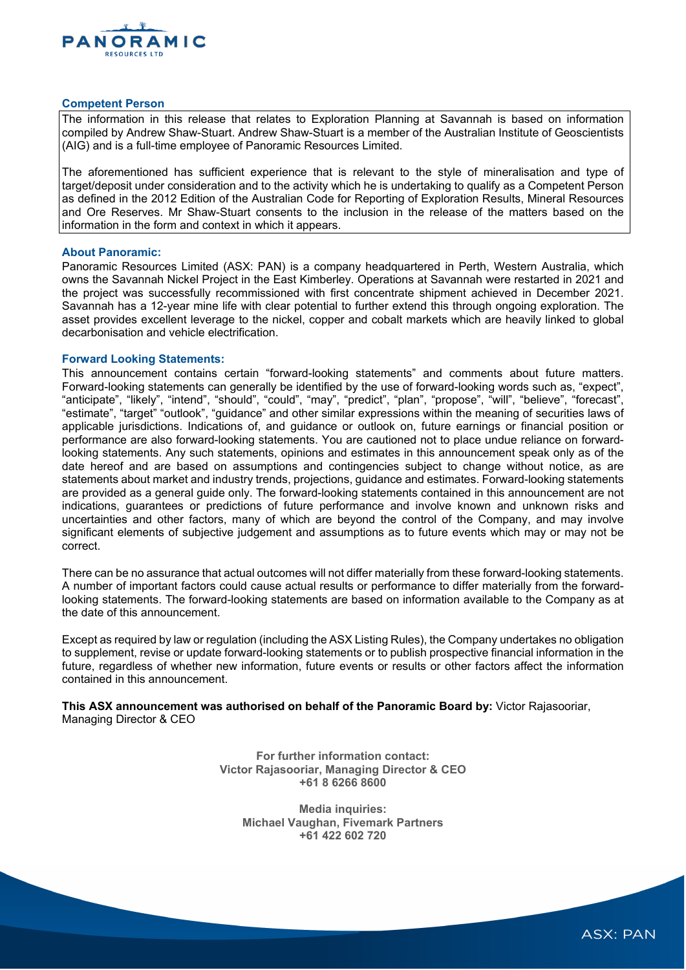

#### **Competent Person**

The information in this release that relates to Exploration Planning at Savannah is based on information compiled by Andrew Shaw-Stuart. Andrew Shaw-Stuart is a member of the Australian Institute of Geoscientists (AIG) and is a full-time employee of Panoramic Resources Limited.

The aforementioned has sufficient experience that is relevant to the style of mineralisation and type of target/deposit under consideration and to the activity which he is undertaking to qualify as a Competent Person as defined in the 2012 Edition of the Australian Code for Reporting of Exploration Results, Mineral Resources and Ore Reserves. Mr Shaw-Stuart consents to the inclusion in the release of the matters based on the information in the form and context in which it appears.

#### **About Panoramic:**

Panoramic Resources Limited (ASX: PAN) is a company headquartered in Perth, Western Australia, which owns the Savannah Nickel Project in the East Kimberley. Operations at Savannah were restarted in 2021 and the project was successfully recommissioned with first concentrate shipment achieved in December 2021. Savannah has a 12-year mine life with clear potential to further extend this through ongoing exploration. The asset provides excellent leverage to the nickel, copper and cobalt markets which are heavily linked to global decarbonisation and vehicle electrification.

#### **Forward Looking Statements:**

This announcement contains certain "forward-looking statements" and comments about future matters. Forward-looking statements can generally be identified by the use of forward-looking words such as, "expect", "anticipate", "likely", "intend", "should", "could", "may", "predict", "plan", "propose", "will", "believe", "forecast", "estimate", "target" "outlook", "guidance" and other similar expressions within the meaning of securities laws of applicable jurisdictions. Indications of, and guidance or outlook on, future earnings or financial position or performance are also forward-looking statements. You are cautioned not to place undue reliance on forwardlooking statements. Any such statements, opinions and estimates in this announcement speak only as of the date hereof and are based on assumptions and contingencies subject to change without notice, as are statements about market and industry trends, projections, guidance and estimates. Forward-looking statements are provided as a general guide only. The forward-looking statements contained in this announcement are not indications, guarantees or predictions of future performance and involve known and unknown risks and uncertainties and other factors, many of which are beyond the control of the Company, and may involve significant elements of subjective judgement and assumptions as to future events which may or may not be correct.

There can be no assurance that actual outcomes will not differ materially from these forward-looking statements. A number of important factors could cause actual results or performance to differ materially from the forwardlooking statements. The forward-looking statements are based on information available to the Company as at the date of this announcement.

Except as required by law or regulation (including the ASX Listing Rules), the Company undertakes no obligation to supplement, revise or update forward-looking statements or to publish prospective financial information in the future, regardless of whether new information, future events or results or other factors affect the information contained in this announcement.

**This ASX announcement was authorised on behalf of the Panoramic Board by:** Victor Rajasooriar, Managing Director & CEO

> **For further information contact: Victor Rajasooriar, Managing Director & CEO +61 8 6266 8600**

**Media inquiries: Michael Vaughan, Fivemark Partners +61 422 602 720**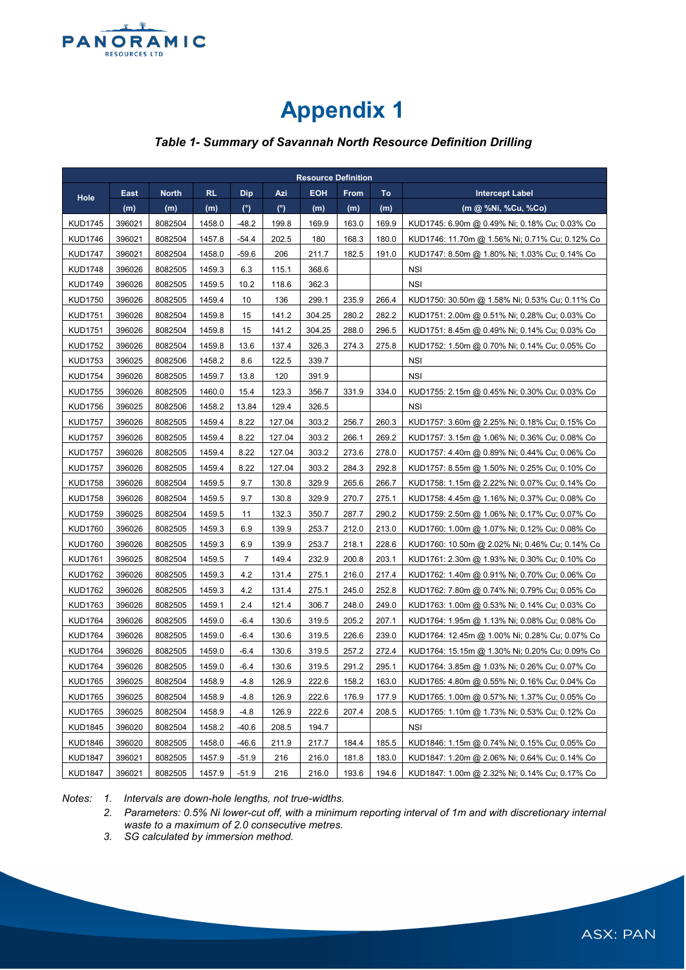

# **Appendix 1**

# *Table 1- Summary of Savannah North Resource Definition Drilling*

| <b>Resource Definition</b> |        |              |           |                |        |            |             |       |                                                |
|----------------------------|--------|--------------|-----------|----------------|--------|------------|-------------|-------|------------------------------------------------|
| Hole                       | East   | <b>North</b> | <b>RL</b> | <b>Dip</b>     | Azi    | <b>EOH</b> | <b>From</b> | To    | <b>Intercept Label</b>                         |
|                            | (m)    | (m)          | (m)       | (°)            | (°)    | (m)        | (m)         | (m)   | (m @ %Ni, %Cu, %Co)                            |
| <b>KUD1745</b>             | 396021 | 8082504      | 1458.0    | $-48.2$        | 199.8  | 169.9      | 163.0       | 169.9 | KUD1745: 6.90m @ 0.49% Ni; 0.18% Cu; 0.03% Co  |
| <b>KUD1746</b>             | 396021 | 8082504      | 1457.8    | $-54.4$        | 202.5  | 180        | 168.3       | 180.0 | KUD1746: 11.70m @ 1.56% Ni; 0.71% Cu; 0.12% Co |
| <b>KUD1747</b>             | 396021 | 8082504      | 1458.0    | $-59.6$        | 206    | 211.7      | 182.5       | 191.0 | KUD1747: 8.50m @ 1.80% Ni; 1.03% Cu; 0.14% Co  |
| <b>KUD1748</b>             | 396026 | 8082505      | 1459.3    | 6.3            | 115.1  | 368.6      |             |       | <b>NSI</b>                                     |
| <b>KUD1749</b>             | 396026 | 8082505      | 1459.5    | 10.2           | 118.6  | 362.3      |             |       | <b>NSI</b>                                     |
| <b>KUD1750</b>             | 396026 | 8082505      | 1459.4    | 10             | 136    | 299.1      | 235.9       | 266.4 | KUD1750: 30.50m @ 1.58% Ni; 0.53% Cu; 0.11% Co |
| <b>KUD1751</b>             | 396026 | 8082504      | 1459.8    | 15             | 141.2  | 304.25     | 280.2       | 282.2 | KUD1751: 2.00m @ 0.51% Ni; 0.28% Cu; 0.03% Co  |
| <b>KUD1751</b>             | 396026 | 8082504      | 1459.8    | 15             | 141.2  | 304.25     | 288.0       | 296.5 | KUD1751: 8.45m @ 0.49% Ni; 0.14% Cu; 0.03% Co  |
| <b>KUD1752</b>             | 396026 | 8082504      | 1459.8    | 13.6           | 137.4  | 326.3      | 274.3       | 275.8 | KUD1752: 1.50m @ 0.70% Ni; 0.14% Cu; 0.05% Co  |
| KUD1753                    | 396025 | 8082506      | 1458.2    | 8.6            | 122.5  | 339.7      |             |       | <b>NSI</b>                                     |
| <b>KUD1754</b>             | 396026 | 8082505      | 1459.7    | 13.8           | 120    | 391.9      |             |       | <b>NSI</b>                                     |
| <b>KUD1755</b>             | 396026 | 8082505      | 1460.0    | 15.4           | 123.3  | 356.7      | 331.9       | 334.0 | KUD1755: 2.15m @ 0.45% Ni; 0.30% Cu; 0.03% Co  |
| <b>KUD1756</b>             | 396025 | 8082506      | 1458.2    | 13.84          | 129.4  | 326.5      |             |       | <b>NSI</b>                                     |
| <b>KUD1757</b>             | 396026 | 8082505      | 1459.4    | 8.22           | 127.04 | 303.2      | 256.7       | 260.3 | KUD1757: 3.60m @ 2.25% Ni; 0.18% Cu; 0.15% Co  |
| <b>KUD1757</b>             | 396026 | 8082505      | 1459.4    | 8.22           | 127.04 | 303.2      | 266.1       | 269.2 | KUD1757: 3.15m @ 1.06% Ni; 0.36% Cu; 0.08% Co  |
| <b>KUD1757</b>             | 396026 | 8082505      | 1459.4    | 8.22           | 127.04 | 303.2      | 273.6       | 278.0 | KUD1757: 4.40m @ 0.89% Ni; 0.44% Cu; 0.06% Co  |
| <b>KUD1757</b>             | 396026 | 8082505      | 1459.4    | 8.22           | 127.04 | 303.2      | 284.3       | 292.8 | KUD1757: 8.55m @ 1.50% Ni; 0.25% Cu; 0.10% Co  |
| <b>KUD1758</b>             | 396026 | 8082504      | 1459.5    | 9.7            | 130.8  | 329.9      | 265.6       | 266.7 | KUD1758: 1.15m @ 2.22% Ni; 0.07% Cu; 0.14% Co  |
| <b>KUD1758</b>             | 396026 | 8082504      | 1459.5    | 9.7            | 130.8  | 329.9      | 270.7       | 275.1 | KUD1758: 4.45m @ 1.16% Ni; 0.37% Cu; 0.08% Co  |
| <b>KUD1759</b>             | 396025 | 8082504      | 1459.5    | 11             | 132.3  | 350.7      | 287.7       | 290.2 | KUD1759: 2.50m @ 1.06% Ni; 0.17% Cu; 0.07% Co  |
| <b>KUD1760</b>             | 396026 | 8082505      | 1459.3    | 6.9            | 139.9  | 253.7      | 212.0       | 213.0 | KUD1760: 1.00m @ 1.07% Ni; 0.12% Cu; 0.08% Co  |
| <b>KUD1760</b>             | 396026 | 8082505      | 1459.3    | 6.9            | 139.9  | 253.7      | 218.1       | 228.6 | KUD1760: 10.50m @ 2.02% Ni; 0.46% Cu; 0.14% Co |
| <b>KUD1761</b>             | 396025 | 8082504      | 1459.5    | $\overline{7}$ | 149.4  | 232.9      | 200.8       | 203.1 | KUD1761: 2.30m @ 1.93% Ni; 0.30% Cu; 0.10% Co  |
| <b>KUD1762</b>             | 396026 | 8082505      | 1459.3    | 4.2            | 131.4  | 275.1      | 216.0       | 217.4 | KUD1762: 1.40m @ 0.91% Ni; 0.70% Cu; 0.06% Co  |
| <b>KUD1762</b>             | 396026 | 8082505      | 1459.3    | 4.2            | 131.4  | 275.1      | 245.0       | 252.8 | KUD1762: 7.80m @ 0.74% Ni; 0.79% Cu; 0.05% Co  |
| <b>KUD1763</b>             | 396026 | 8082505      | 1459.1    | 2.4            | 121.4  | 306.7      | 248.0       | 249.0 | KUD1763: 1.00m @ 0.53% Ni; 0.14% Cu; 0.03% Co  |
| <b>KUD1764</b>             | 396026 | 8082505      | 1459.0    | $-6.4$         | 130.6  | 319.5      | 205.2       | 207.1 | KUD1764: 1.95m @ 1.13% Ni; 0.08% Cu; 0.08% Co  |
| <b>KUD1764</b>             | 396026 | 8082505      | 1459.0    | $-6.4$         | 130.6  | 319.5      | 226.6       | 239.0 | KUD1764: 12.45m @ 1.00% Ni; 0.28% Cu; 0.07% Co |
| <b>KUD1764</b>             | 396026 | 8082505      | 1459.0    | $-6.4$         | 130.6  | 319.5      | 257.2       | 272.4 | KUD1764: 15.15m @ 1.30% Ni; 0.20% Cu; 0.09% Co |
| <b>KUD1764</b>             | 396026 | 8082505      | 1459.0    | $-6.4$         | 130.6  | 319.5      | 291.2       | 295.1 | KUD1764: 3.85m @ 1.03% Ni; 0.26% Cu; 0.07% Co  |
| <b>KUD1765</b>             | 396025 | 8082504      | 1458.9    | $-4.8$         | 126.9  | 222.6      | 158.2       | 163.0 | KUD1765: 4.80m @ 0.55% Ni; 0.16% Cu; 0.04% Co  |
| <b>KUD1765</b>             | 396025 | 8082504      | 1458.9    | $-4.8$         | 126.9  | 222.6      | 176.9       | 177.9 | KUD1765: 1.00m @ 0.57% Ni; 1.37% Cu; 0.05% Co  |
| <b>KUD1765</b>             | 396025 | 8082504      | 1458.9    | $-4.8$         | 126.9  | 222.6      | 207.4       | 208.5 | KUD1765: 1.10m @ 1.73% Ni; 0.53% Cu; 0.12% Co  |
| <b>KUD1845</b>             | 396020 | 8082504      | 1458.2    | $-40.6$        | 208.5  | 194.7      |             |       | <b>NSI</b>                                     |
| <b>KUD1846</b>             | 396020 | 8082505      | 1458.0    | $-46.6$        | 211.9  | 217.7      | 184.4       | 185.5 | KUD1846: 1.15m @ 0.74% Ni; 0.15% Cu; 0.05% Co  |
| <b>KUD1847</b>             | 396021 | 8082505      | 1457.9    | $-51.9$        | 216    | 216.0      | 181.8       | 183.0 | KUD1847: 1.20m @ 2.06% Ni; 0.64% Cu; 0.14% Co  |
| <b>KUD1847</b>             | 396021 | 8082505      | 1457.9    | $-51.9$        | 216    | 216.0      | 193.6       | 194.6 | KUD1847: 1.00m @ 2.32% Ni; 0.14% Cu; 0.17% Co  |

*Notes: 1. Intervals are down-hole lengths, not true-widths.*

- *2. Parameters: 0.5% Ni lower-cut off, with a minimum reporting interval of 1m and with discretionary internal waste to a maximum of 2.0 consecutive metres.*
- *3. SG calculated by immersion method.*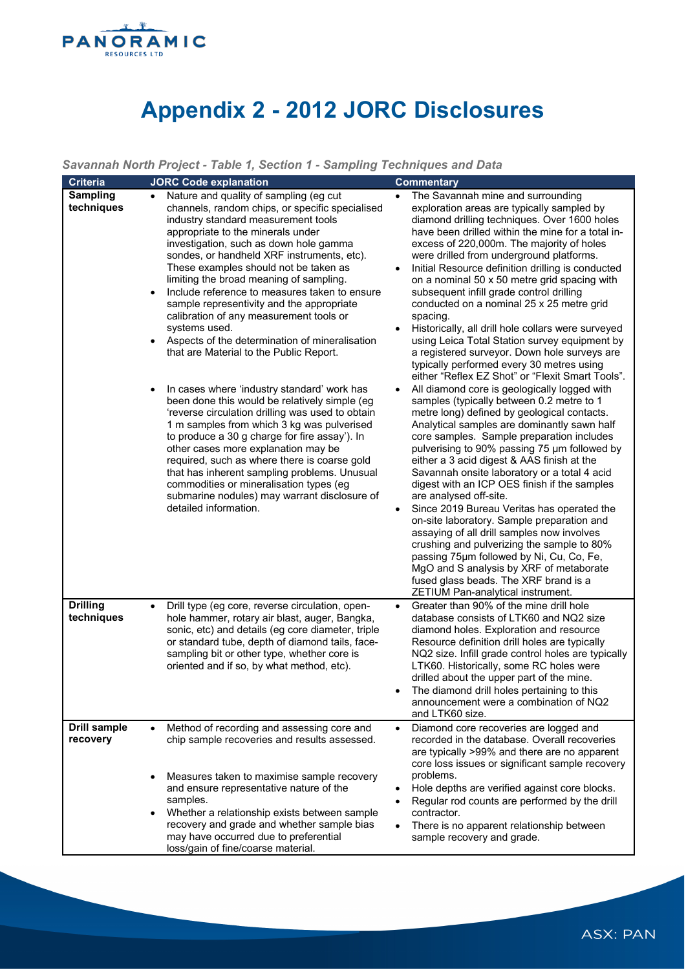

# **Appendix 2 - 2012 JORC Disclosures**

# *Savannah North Project - Table 1, Section 1 - Sampling Techniques and Data*

| Criteria                        | <b>JORC Code explanation</b>                                                                                                                                                                                                                                                                                                                                                                                                                                                                                                                                                                                                                                                                                                                                                                                                                                                                                                                                                                                                                                                                                           | <b>Commentary</b>                                                                                                                                                                                                                                                                                                                                                                                                                                                                                                                                                                                                                                                                                                                                                                                                                                                                                                                                                                                                                                                                                                                                                                                                                                                                                                                                                                                                                                                                                                                                                                                      |
|---------------------------------|------------------------------------------------------------------------------------------------------------------------------------------------------------------------------------------------------------------------------------------------------------------------------------------------------------------------------------------------------------------------------------------------------------------------------------------------------------------------------------------------------------------------------------------------------------------------------------------------------------------------------------------------------------------------------------------------------------------------------------------------------------------------------------------------------------------------------------------------------------------------------------------------------------------------------------------------------------------------------------------------------------------------------------------------------------------------------------------------------------------------|--------------------------------------------------------------------------------------------------------------------------------------------------------------------------------------------------------------------------------------------------------------------------------------------------------------------------------------------------------------------------------------------------------------------------------------------------------------------------------------------------------------------------------------------------------------------------------------------------------------------------------------------------------------------------------------------------------------------------------------------------------------------------------------------------------------------------------------------------------------------------------------------------------------------------------------------------------------------------------------------------------------------------------------------------------------------------------------------------------------------------------------------------------------------------------------------------------------------------------------------------------------------------------------------------------------------------------------------------------------------------------------------------------------------------------------------------------------------------------------------------------------------------------------------------------------------------------------------------------|
| Sampling<br>techniques          | Nature and quality of sampling (eg cut<br>channels, random chips, or specific specialised<br>industry standard measurement tools<br>appropriate to the minerals under<br>investigation, such as down hole gamma<br>sondes, or handheld XRF instruments, etc).<br>These examples should not be taken as<br>limiting the broad meaning of sampling.<br>Include reference to measures taken to ensure<br>sample representivity and the appropriate<br>calibration of any measurement tools or<br>systems used.<br>Aspects of the determination of mineralisation<br>that are Material to the Public Report.<br>In cases where 'industry standard' work has<br>been done this would be relatively simple (eg<br>'reverse circulation drilling was used to obtain<br>1 m samples from which 3 kg was pulverised<br>to produce a 30 g charge for fire assay'). In<br>other cases more explanation may be<br>required, such as where there is coarse gold<br>that has inherent sampling problems. Unusual<br>commodities or mineralisation types (eg<br>submarine nodules) may warrant disclosure of<br>detailed information. | The Savannah mine and surrounding<br>exploration areas are typically sampled by<br>diamond drilling techniques. Over 1600 holes<br>have been drilled within the mine for a total in-<br>excess of 220,000m. The majority of holes<br>were drilled from underground platforms.<br>Initial Resource definition drilling is conducted<br>$\bullet$<br>on a nominal 50 x 50 metre grid spacing with<br>subsequent infill grade control drilling<br>conducted on a nominal 25 x 25 metre grid<br>spacing.<br>Historically, all drill hole collars were surveyed<br>using Leica Total Station survey equipment by<br>a registered surveyor. Down hole surveys are<br>typically performed every 30 metres using<br>either "Reflex EZ Shot" or "Flexit Smart Tools".<br>All diamond core is geologically logged with<br>samples (typically between 0.2 metre to 1<br>metre long) defined by geological contacts.<br>Analytical samples are dominantly sawn half<br>core samples. Sample preparation includes<br>pulverising to 90% passing 75 µm followed by<br>either a 3 acid digest & AAS finish at the<br>Savannah onsite laboratory or a total 4 acid<br>digest with an ICP OES finish if the samples<br>are analysed off-site.<br>Since 2019 Bureau Veritas has operated the<br>$\bullet$<br>on-site laboratory. Sample preparation and<br>assaying of all drill samples now involves<br>crushing and pulverizing the sample to 80%<br>passing 75µm followed by Ni, Cu, Co, Fe,<br>MgO and S analysis by XRF of metaborate<br>fused glass beads. The XRF brand is a<br>ZETIUM Pan-analytical instrument. |
| <b>Drilling</b><br>techniques   | Drill type (eg core, reverse circulation, open-<br>$\bullet$<br>hole hammer, rotary air blast, auger, Bangka,<br>sonic, etc) and details (eg core diameter, triple<br>or standard tube, depth of diamond tails, face-<br>sampling bit or other type, whether core is<br>oriented and if so, by what method, etc).                                                                                                                                                                                                                                                                                                                                                                                                                                                                                                                                                                                                                                                                                                                                                                                                      | Greater than 90% of the mine drill hole<br>$\bullet$<br>database consists of LTK60 and NQ2 size<br>diamond holes. Exploration and resource<br>Resource definition drill holes are typically<br>NQ2 size. Infill grade control holes are typically<br>LTK60. Historically, some RC holes were<br>drilled about the upper part of the mine.<br>The diamond drill holes pertaining to this<br>announcement were a combination of NQ2<br>and LTK60 size.                                                                                                                                                                                                                                                                                                                                                                                                                                                                                                                                                                                                                                                                                                                                                                                                                                                                                                                                                                                                                                                                                                                                                   |
| <b>Drill sample</b><br>recovery | Method of recording and assessing core and<br>chip sample recoveries and results assessed.<br>Measures taken to maximise sample recovery<br>and ensure representative nature of the<br>samples.<br>Whether a relationship exists between sample<br>$\bullet$<br>recovery and grade and whether sample bias<br>may have occurred due to preferential<br>loss/gain of fine/coarse material.                                                                                                                                                                                                                                                                                                                                                                                                                                                                                                                                                                                                                                                                                                                              | Diamond core recoveries are logged and<br>$\bullet$<br>recorded in the database. Overall recoveries<br>are typically >99% and there are no apparent<br>core loss issues or significant sample recovery<br>problems.<br>Hole depths are verified against core blocks.<br>$\bullet$<br>Regular rod counts are performed by the drill<br>contractor.<br>There is no apparent relationship between<br>$\bullet$<br>sample recovery and grade.                                                                                                                                                                                                                                                                                                                                                                                                                                                                                                                                                                                                                                                                                                                                                                                                                                                                                                                                                                                                                                                                                                                                                              |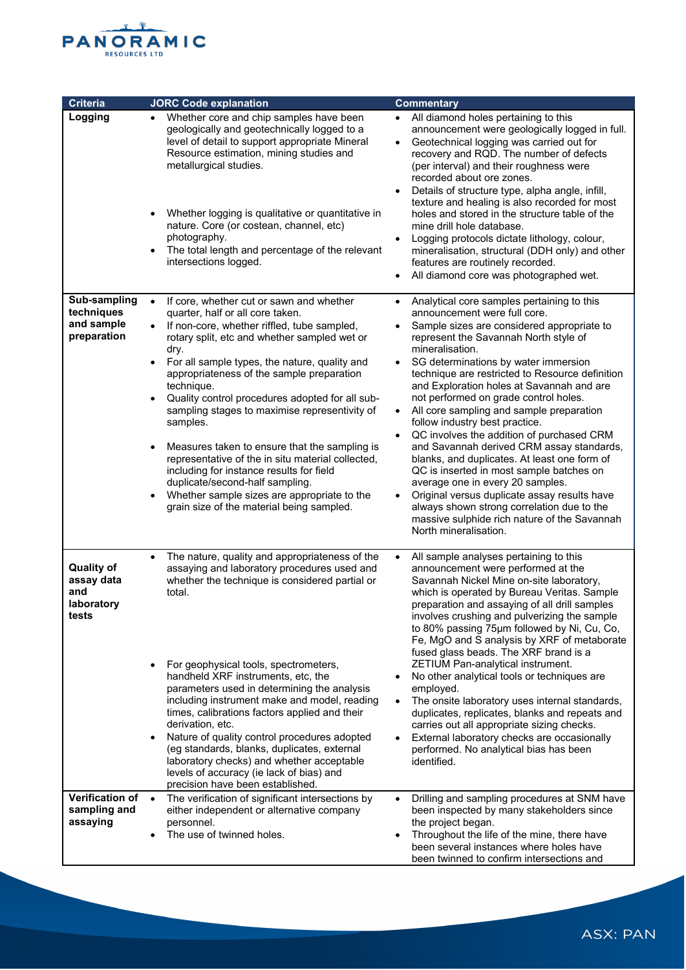

| <b>Criteria</b>                                               | <b>JORC Code explanation</b>                                                                                                                                                                                                                                                                                                                                                                                                                                                                                                                                                                                                                                                                                                            | <b>Commentary</b>                                                                                                                                                                                                                                                                                                                                                                                                                                                                                                                                                                                                                                                                                                                                                                                                                                                                                        |
|---------------------------------------------------------------|-----------------------------------------------------------------------------------------------------------------------------------------------------------------------------------------------------------------------------------------------------------------------------------------------------------------------------------------------------------------------------------------------------------------------------------------------------------------------------------------------------------------------------------------------------------------------------------------------------------------------------------------------------------------------------------------------------------------------------------------|----------------------------------------------------------------------------------------------------------------------------------------------------------------------------------------------------------------------------------------------------------------------------------------------------------------------------------------------------------------------------------------------------------------------------------------------------------------------------------------------------------------------------------------------------------------------------------------------------------------------------------------------------------------------------------------------------------------------------------------------------------------------------------------------------------------------------------------------------------------------------------------------------------|
| Logging                                                       | Whether core and chip samples have been<br>geologically and geotechnically logged to a<br>level of detail to support appropriate Mineral<br>Resource estimation, mining studies and<br>metallurgical studies.<br>Whether logging is qualitative or quantitative in<br>nature. Core (or costean, channel, etc)<br>photography.                                                                                                                                                                                                                                                                                                                                                                                                           | All diamond holes pertaining to this<br>announcement were geologically logged in full.<br>Geotechnical logging was carried out for<br>$\bullet$<br>recovery and RQD. The number of defects<br>(per interval) and their roughness were<br>recorded about ore zones.<br>Details of structure type, alpha angle, infill,<br>texture and healing is also recorded for most<br>holes and stored in the structure table of the<br>mine drill hole database.<br>Logging protocols dictate lithology, colour,<br>$\bullet$                                                                                                                                                                                                                                                                                                                                                                                       |
|                                                               | The total length and percentage of the relevant<br>$\bullet$<br>intersections logged.                                                                                                                                                                                                                                                                                                                                                                                                                                                                                                                                                                                                                                                   | mineralisation, structural (DDH only) and other<br>features are routinely recorded.<br>All diamond core was photographed wet.                                                                                                                                                                                                                                                                                                                                                                                                                                                                                                                                                                                                                                                                                                                                                                            |
| Sub-sampling<br>techniques<br>and sample<br>preparation       | If core, whether cut or sawn and whether<br>$\bullet$<br>quarter, half or all core taken.<br>If non-core, whether riffled, tube sampled,<br>$\bullet$<br>rotary split, etc and whether sampled wet or<br>dry.<br>For all sample types, the nature, quality and<br>$\bullet$<br>appropriateness of the sample preparation<br>technique.<br>Quality control procedures adopted for all sub-<br>sampling stages to maximise representivity of<br>samples.<br>Measures taken to ensure that the sampling is<br>representative of the in situ material collected,<br>including for instance results for field<br>duplicate/second-half sampling.<br>Whether sample sizes are appropriate to the<br>grain size of the material being sampled. | Analytical core samples pertaining to this<br>announcement were full core.<br>Sample sizes are considered appropriate to<br>$\bullet$<br>represent the Savannah North style of<br>mineralisation.<br>SG determinations by water immersion<br>$\bullet$<br>technique are restricted to Resource definition<br>and Exploration holes at Savannah and are<br>not performed on grade control holes.<br>All core sampling and sample preparation<br>$\bullet$<br>follow industry best practice.<br>QC involves the addition of purchased CRM<br>$\bullet$<br>and Savannah derived CRM assay standards,<br>blanks, and duplicates. At least one form of<br>QC is inserted in most sample batches on<br>average one in every 20 samples.<br>Original versus duplicate assay results have<br>always shown strong correlation due to the<br>massive sulphide rich nature of the Savannah<br>North mineralisation. |
| <b>Quality of</b><br>assay data<br>and<br>laboratory<br>tests | The nature, quality and appropriateness of the<br>assaying and laboratory procedures used and<br>whether the technique is considered partial or<br>total.<br>For geophysical tools, spectrometers,<br>handheld XRF instruments, etc, the<br>parameters used in determining the analysis<br>including instrument make and model, reading<br>times, calibrations factors applied and their<br>derivation, etc.<br>Nature of quality control procedures adopted<br>(eg standards, blanks, duplicates, external<br>laboratory checks) and whether acceptable<br>levels of accuracy (ie lack of bias) and<br>precision have been established.                                                                                                | All sample analyses pertaining to this<br>$\bullet$<br>announcement were performed at the<br>Savannah Nickel Mine on-site laboratory,<br>which is operated by Bureau Veritas. Sample<br>preparation and assaying of all drill samples<br>involves crushing and pulverizing the sample<br>to 80% passing 75µm followed by Ni, Cu, Co,<br>Fe, MgO and S analysis by XRF of metaborate<br>fused glass beads. The XRF brand is a<br>ZETIUM Pan-analytical instrument.<br>No other analytical tools or techniques are<br>employed.<br>The onsite laboratory uses internal standards,<br>$\bullet$<br>duplicates, replicates, blanks and repeats and<br>carries out all appropriate sizing checks.<br>External laboratory checks are occasionally<br>performed. No analytical bias has been<br>identified.                                                                                                     |
| <b>Verification of</b><br>sampling and<br>assaying            | The verification of significant intersections by<br>either independent or alternative company<br>personnel.<br>The use of twinned holes.                                                                                                                                                                                                                                                                                                                                                                                                                                                                                                                                                                                                | Drilling and sampling procedures at SNM have<br>been inspected by many stakeholders since<br>the project began.<br>Throughout the life of the mine, there have<br>been several instances where holes have<br>been twinned to confirm intersections and                                                                                                                                                                                                                                                                                                                                                                                                                                                                                                                                                                                                                                                   |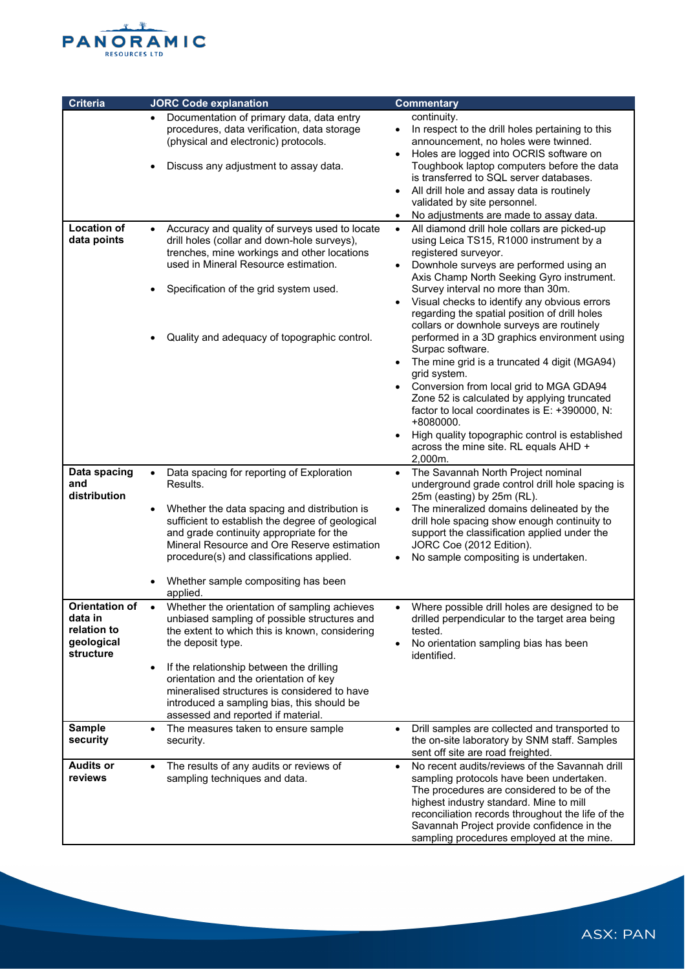

| <b>Criteria</b>                                                            | <b>JORC Code explanation</b>                                                                                                                                                                                                                                                                                                                                                                                           | <b>Commentary</b>                                                                                                                                                                                                                                                                                                                                                                                                                                                                                                                                                                                                                                                                                                                                                                                                                                                           |
|----------------------------------------------------------------------------|------------------------------------------------------------------------------------------------------------------------------------------------------------------------------------------------------------------------------------------------------------------------------------------------------------------------------------------------------------------------------------------------------------------------|-----------------------------------------------------------------------------------------------------------------------------------------------------------------------------------------------------------------------------------------------------------------------------------------------------------------------------------------------------------------------------------------------------------------------------------------------------------------------------------------------------------------------------------------------------------------------------------------------------------------------------------------------------------------------------------------------------------------------------------------------------------------------------------------------------------------------------------------------------------------------------|
|                                                                            | Documentation of primary data, data entry<br>$\bullet$<br>procedures, data verification, data storage<br>(physical and electronic) protocols.<br>Discuss any adjustment to assay data.                                                                                                                                                                                                                                 | continuity.<br>In respect to the drill holes pertaining to this<br>announcement, no holes were twinned.<br>Holes are logged into OCRIS software on<br>$\bullet$<br>Toughbook laptop computers before the data<br>is transferred to SQL server databases.<br>All drill hole and assay data is routinely<br>$\bullet$<br>validated by site personnel.<br>No adjustments are made to assay data.<br>$\bullet$                                                                                                                                                                                                                                                                                                                                                                                                                                                                  |
| <b>Location of</b><br>data points                                          | Accuracy and quality of surveys used to locate<br>drill holes (collar and down-hole surveys),<br>trenches, mine workings and other locations<br>used in Mineral Resource estimation.<br>Specification of the grid system used.<br>Quality and adequacy of topographic control.                                                                                                                                         | All diamond drill hole collars are picked-up<br>$\bullet$<br>using Leica TS15, R1000 instrument by a<br>registered surveyor.<br>Downhole surveys are performed using an<br>$\bullet$<br>Axis Champ North Seeking Gyro instrument.<br>Survey interval no more than 30m.<br>Visual checks to identify any obvious errors<br>$\bullet$<br>regarding the spatial position of drill holes<br>collars or downhole surveys are routinely<br>performed in a 3D graphics environment using<br>Surpac software.<br>The mine grid is a truncated 4 digit (MGA94)<br>$\bullet$<br>grid system.<br>Conversion from local grid to MGA GDA94<br>$\bullet$<br>Zone 52 is calculated by applying truncated<br>factor to local coordinates is E: +390000, N:<br>+8080000.<br>High quality topographic control is established<br>$\bullet$<br>across the mine site. RL equals AHD +<br>2,000m. |
| Data spacing<br>and<br>distribution                                        | Data spacing for reporting of Exploration<br>$\bullet$<br>Results.<br>Whether the data spacing and distribution is<br>$\bullet$<br>sufficient to establish the degree of geological<br>and grade continuity appropriate for the<br>Mineral Resource and Ore Reserve estimation<br>procedure(s) and classifications applied.<br>Whether sample compositing has been                                                     | The Savannah North Project nominal<br>$\bullet$<br>underground grade control drill hole spacing is<br>25m (easting) by 25m (RL).<br>The mineralized domains delineated by the<br>$\bullet$<br>drill hole spacing show enough continuity to<br>support the classification applied under the<br>JORC Coe (2012 Edition).<br>No sample compositing is undertaken.                                                                                                                                                                                                                                                                                                                                                                                                                                                                                                              |
| <b>Orientation of</b><br>data in<br>relation to<br>geological<br>structure | applied.<br>Whether the orientation of sampling achieves<br>unbiased sampling of possible structures and<br>the extent to which this is known, considering<br>the deposit type.<br>If the relationship between the drilling<br>$\bullet$<br>orientation and the orientation of key<br>mineralised structures is considered to have<br>introduced a sampling bias, this should be<br>assessed and reported if material. | Where possible drill holes are designed to be<br>drilled perpendicular to the target area being<br>tested.<br>No orientation sampling bias has been<br>$\bullet$<br>identified.                                                                                                                                                                                                                                                                                                                                                                                                                                                                                                                                                                                                                                                                                             |
| <b>Sample</b><br>security<br><b>Audits or</b><br>reviews                   | The measures taken to ensure sample<br>$\bullet$<br>security.<br>The results of any audits or reviews of<br>$\bullet$<br>sampling techniques and data.                                                                                                                                                                                                                                                                 | Drill samples are collected and transported to<br>$\bullet$<br>the on-site laboratory by SNM staff. Samples<br>sent off site are road freighted.<br>No recent audits/reviews of the Savannah drill<br>$\bullet$<br>sampling protocols have been undertaken.<br>The procedures are considered to be of the<br>highest industry standard. Mine to mill<br>reconciliation records throughout the life of the<br>Savannah Project provide confidence in the<br>sampling procedures employed at the mine.                                                                                                                                                                                                                                                                                                                                                                        |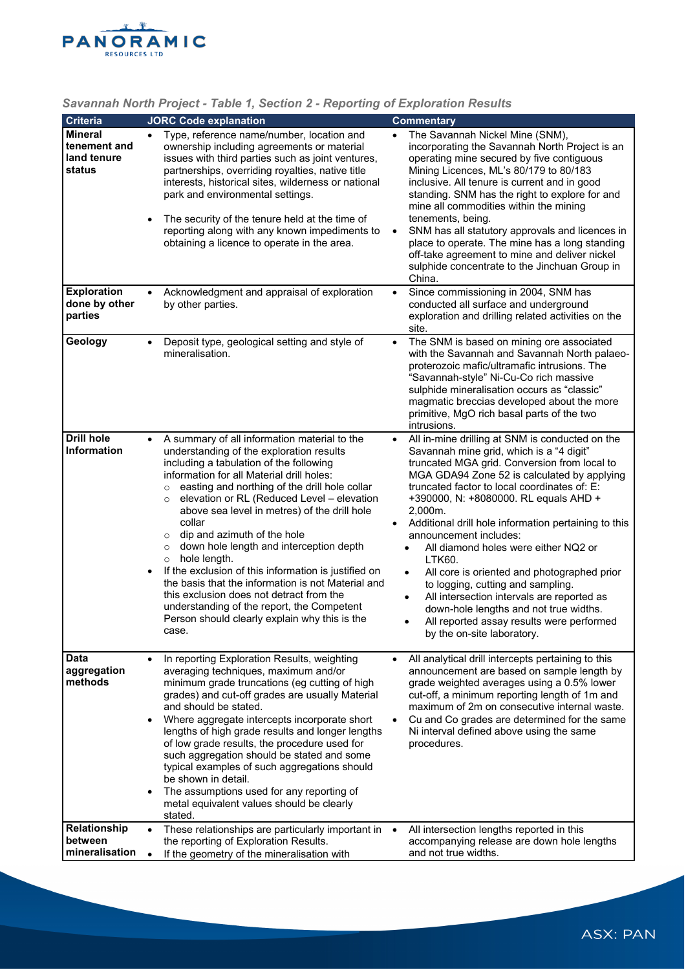

|                                                         | oaramman norun rojeet - rawie 1, oecuon z - reporung or Exploration results                                                                                                                                                                                                                                                                                                                                                                                                                                                                                                                                                                                                                                                                                                      |                                                                                                                                                                                                                                                                                                                                                                                                                                                                                                                                                                                                                                                                                                               |
|---------------------------------------------------------|----------------------------------------------------------------------------------------------------------------------------------------------------------------------------------------------------------------------------------------------------------------------------------------------------------------------------------------------------------------------------------------------------------------------------------------------------------------------------------------------------------------------------------------------------------------------------------------------------------------------------------------------------------------------------------------------------------------------------------------------------------------------------------|---------------------------------------------------------------------------------------------------------------------------------------------------------------------------------------------------------------------------------------------------------------------------------------------------------------------------------------------------------------------------------------------------------------------------------------------------------------------------------------------------------------------------------------------------------------------------------------------------------------------------------------------------------------------------------------------------------------|
| <b>Criteria</b>                                         | <b>JORC Code explanation</b>                                                                                                                                                                                                                                                                                                                                                                                                                                                                                                                                                                                                                                                                                                                                                     | <b>Commentary</b>                                                                                                                                                                                                                                                                                                                                                                                                                                                                                                                                                                                                                                                                                             |
| <b>Mineral</b><br>tenement and<br>land tenure<br>status | Type, reference name/number, location and<br>ownership including agreements or material<br>issues with third parties such as joint ventures,<br>partnerships, overriding royalties, native title<br>interests, historical sites, wilderness or national<br>park and environmental settings.<br>The security of the tenure held at the time of<br>$\bullet$<br>reporting along with any known impediments to<br>obtaining a licence to operate in the area.                                                                                                                                                                                                                                                                                                                       | The Savannah Nickel Mine (SNM),<br>incorporating the Savannah North Project is an<br>operating mine secured by five contiguous<br>Mining Licences, ML's 80/179 to 80/183<br>inclusive. All tenure is current and in good<br>standing. SNM has the right to explore for and<br>mine all commodities within the mining<br>tenements, being.<br>SNM has all statutory approvals and licences in<br>place to operate. The mine has a long standing<br>off-take agreement to mine and deliver nickel<br>sulphide concentrate to the Jinchuan Group in<br>China.                                                                                                                                                    |
| <b>Exploration</b><br>done by other<br>parties          | Acknowledgment and appraisal of exploration<br>$\bullet$<br>by other parties.                                                                                                                                                                                                                                                                                                                                                                                                                                                                                                                                                                                                                                                                                                    | Since commissioning in 2004, SNM has<br>$\bullet$<br>conducted all surface and underground<br>exploration and drilling related activities on the<br>site.                                                                                                                                                                                                                                                                                                                                                                                                                                                                                                                                                     |
| Geology                                                 | Deposit type, geological setting and style of<br>mineralisation.                                                                                                                                                                                                                                                                                                                                                                                                                                                                                                                                                                                                                                                                                                                 | The SNM is based on mining ore associated<br>with the Savannah and Savannah North palaeo-<br>proterozoic mafic/ultramafic intrusions. The<br>"Savannah-style" Ni-Cu-Co rich massive<br>sulphide mineralisation occurs as "classic"<br>magmatic breccias developed about the more<br>primitive, MgO rich basal parts of the two<br>intrusions.                                                                                                                                                                                                                                                                                                                                                                 |
| <b>Drill hole</b><br>Information                        | A summary of all information material to the<br>$\bullet$<br>understanding of the exploration results<br>including a tabulation of the following<br>information for all Material drill holes:<br>easting and northing of the drill hole collar<br>$\circ$<br>elevation or RL (Reduced Level - elevation<br>$\circ$<br>above sea level in metres) of the drill hole<br>collar<br>dip and azimuth of the hole<br>O<br>down hole length and interception depth<br>$\circ$<br>hole length.<br>$\circ$<br>If the exclusion of this information is justified on<br>$\bullet$<br>the basis that the information is not Material and<br>this exclusion does not detract from the<br>understanding of the report, the Competent<br>Person should clearly explain why this is the<br>case. | All in-mine drilling at SNM is conducted on the<br>Savannah mine grid, which is a "4 digit"<br>truncated MGA grid. Conversion from local to<br>MGA GDA94 Zone 52 is calculated by applying<br>truncated factor to local coordinates of: E:<br>+390000, N: +8080000. RL equals AHD +<br>2,000m.<br>Additional drill hole information pertaining to this<br>announcement includes:<br>All diamond holes were either NQ2 or<br><b>LTK60.</b><br>All core is oriented and photographed prior<br>$\bullet$<br>to logging, cutting and sampling.<br>All intersection intervals are reported as<br>down-hole lengths and not true widths.<br>All reported assay results were performed<br>by the on-site laboratory. |
| Data<br>aggregation<br>methods                          | In reporting Exploration Results, weighting<br>averaging techniques, maximum and/or<br>minimum grade truncations (eg cutting of high<br>grades) and cut-off grades are usually Material<br>and should be stated.<br>Where aggregate intercepts incorporate short<br>lengths of high grade results and longer lengths<br>of low grade results, the procedure used for<br>such aggregation should be stated and some<br>typical examples of such aggregations should<br>be shown in detail.<br>The assumptions used for any reporting of<br>$\bullet$<br>metal equivalent values should be clearly<br>stated.                                                                                                                                                                      | All analytical drill intercepts pertaining to this<br>announcement are based on sample length by<br>grade weighted averages using a 0.5% lower<br>cut-off, a minimum reporting length of 1m and<br>maximum of 2m on consecutive internal waste.<br>Cu and Co grades are determined for the same<br>Ni interval defined above using the same<br>procedures.                                                                                                                                                                                                                                                                                                                                                    |
| Relationship<br>between<br>mineralisation               | These relationships are particularly important in<br>$\bullet$<br>the reporting of Exploration Results.<br>If the geometry of the mineralisation with<br>$\bullet$                                                                                                                                                                                                                                                                                                                                                                                                                                                                                                                                                                                                               | All intersection lengths reported in this<br>$\bullet$<br>accompanying release are down hole lengths<br>and not true widths.                                                                                                                                                                                                                                                                                                                                                                                                                                                                                                                                                                                  |

## *Savannah North Project - Table 1, Section 2 - Reporting of Exploration Results*